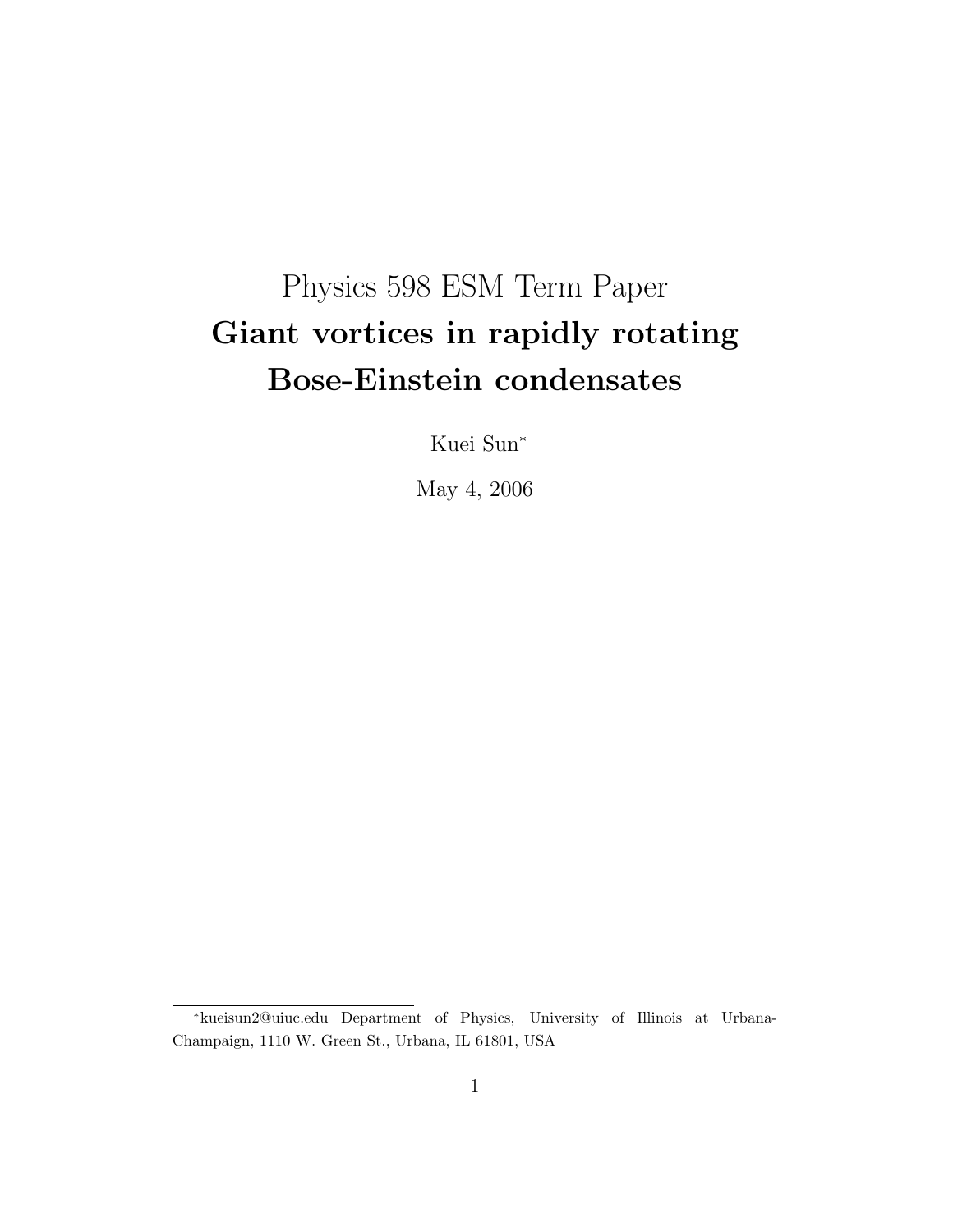# Physics 598 ESM Term Paper Giant vortices in rapidly rotating Bose-Einstein condensates

Kuei Sun<sup>∗</sup>

May 4, 2006

<sup>∗</sup>kueisun2@uiuc.edu Department of Physics, University of Illinois at Urbana-Champaign, 1110 W. Green St., Urbana, IL 61801, USA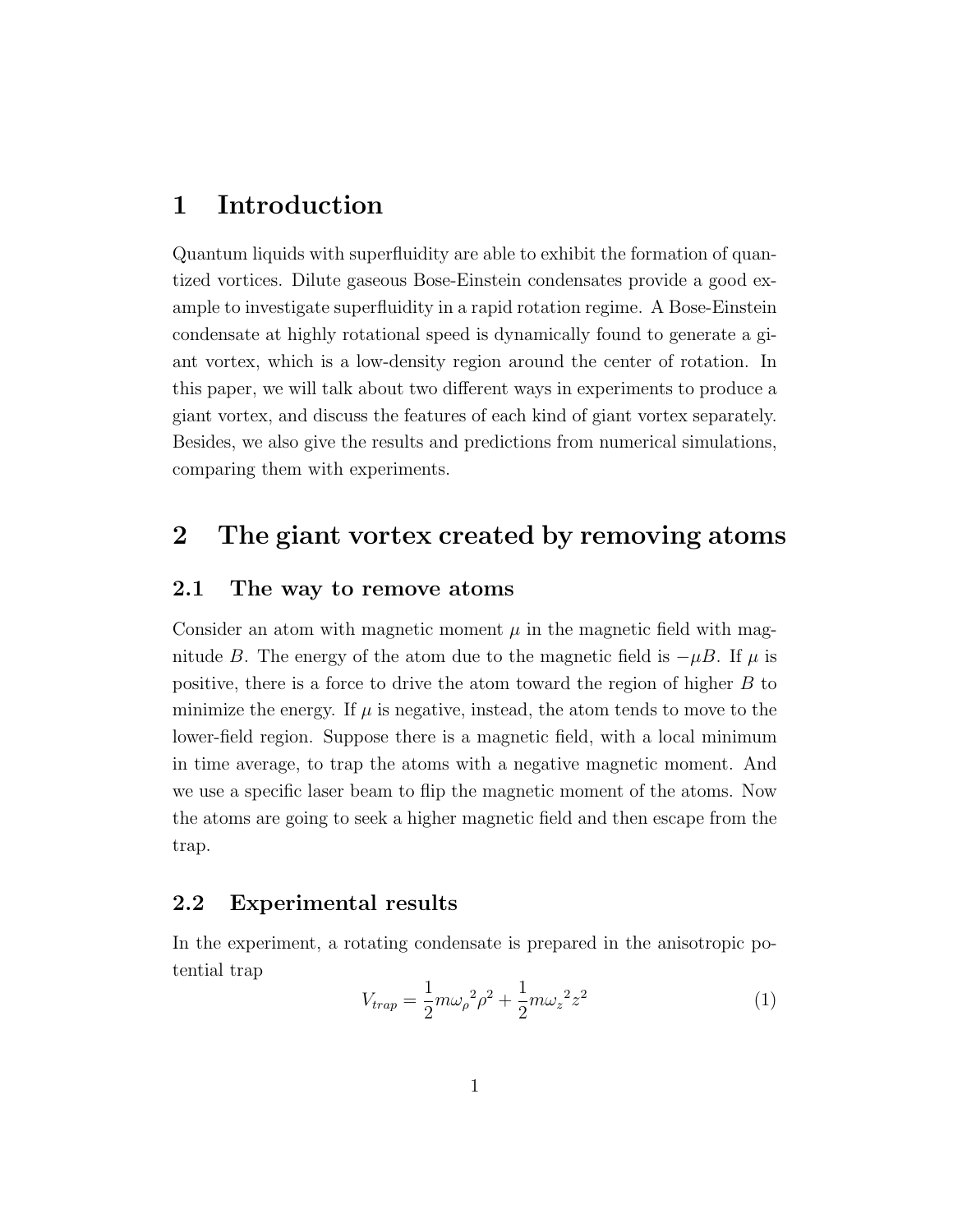## 1 Introduction

Quantum liquids with superfluidity are able to exhibit the formation of quantized vortices. Dilute gaseous Bose-Einstein condensates provide a good example to investigate superfluidity in a rapid rotation regime. A Bose-Einstein condensate at highly rotational speed is dynamically found to generate a giant vortex, which is a low-density region around the center of rotation. In this paper, we will talk about two different ways in experiments to produce a giant vortex, and discuss the features of each kind of giant vortex separately. Besides, we also give the results and predictions from numerical simulations, comparing them with experiments.

## 2 The giant vortex created by removing atoms

#### 2.1 The way to remove atoms

Consider an atom with magnetic moment  $\mu$  in the magnetic field with magnitude B. The energy of the atom due to the magnetic field is  $-\mu B$ . If  $\mu$  is positive, there is a force to drive the atom toward the region of higher B to minimize the energy. If  $\mu$  is negative, instead, the atom tends to move to the lower-field region. Suppose there is a magnetic field, with a local minimum in time average, to trap the atoms with a negative magnetic moment. And we use a specific laser beam to flip the magnetic moment of the atoms. Now the atoms are going to seek a higher magnetic field and then escape from the trap.

#### 2.2 Experimental results

In the experiment, a rotating condensate is prepared in the anisotropic potential trap

$$
V_{trap} = \frac{1}{2}m\omega_{\rho}^{2}\rho^{2} + \frac{1}{2}m\omega_{z}^{2}z^{2}
$$
 (1)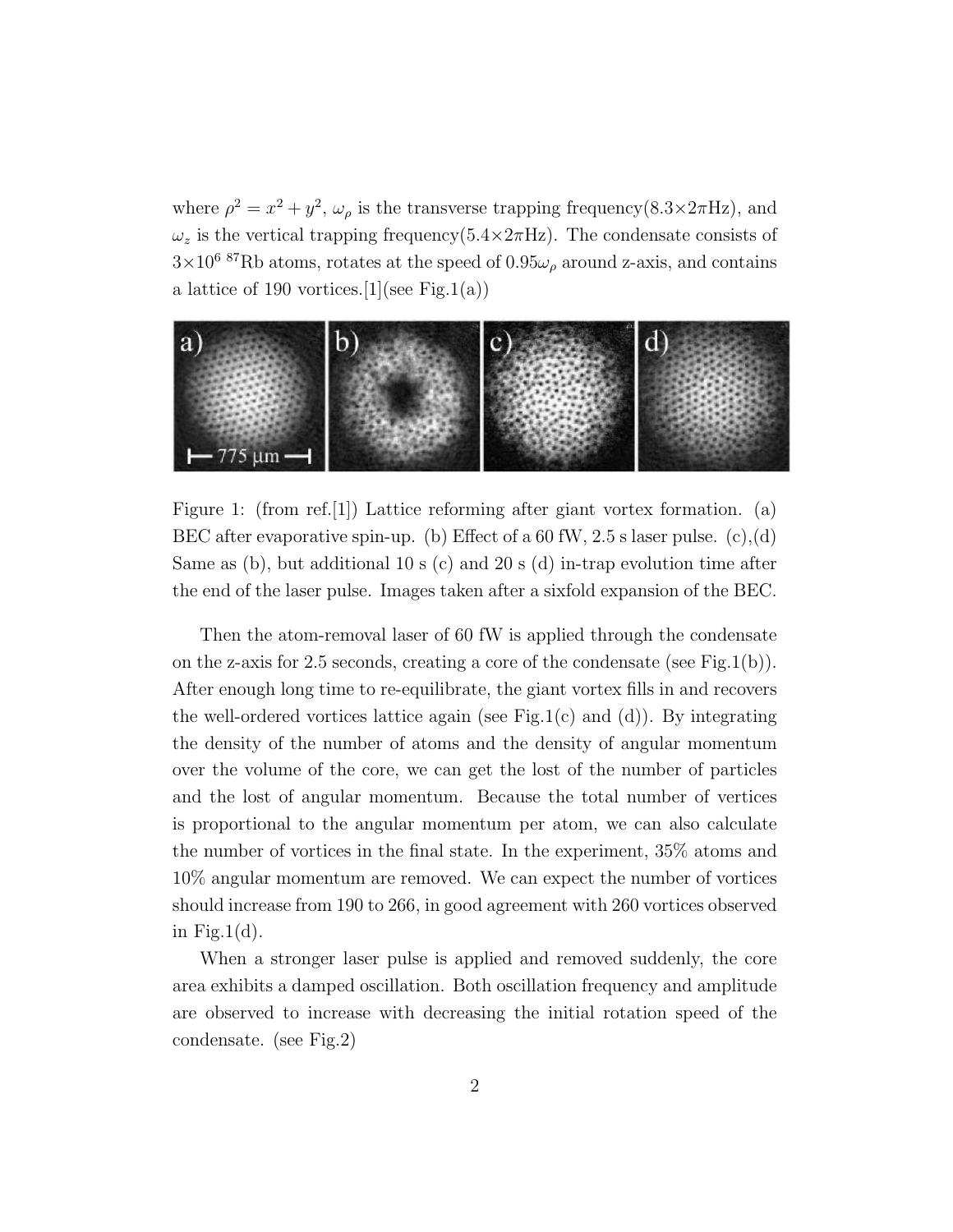where  $\rho^2 = x^2 + y^2$ ,  $\omega_\rho$  is the transverse trapping frequency(8.3×2 $\pi$ Hz), and  $\omega_z$  is the vertical trapping frequency(5.4×2πHz). The condensate consists of  $3\times10^6$  87Rb atoms, rotates at the speed of  $0.95\omega_\rho$  around z-axis, and contains a lattice of 190 vortices. [1] (see Fig. 1(a))



Figure 1: (from ref. [1]) Lattice reforming after giant vortex formation. (a) BEC after evaporative spin-up. (b) Effect of a 60 fW, 2.5 s laser pulse.  $(c)$ , (d) Same as (b), but additional 10 s (c) and 20 s (d) in-trap evolution time after the end of the laser pulse. Images taken after a sixfold expansion of the BEC.

Then the atom-removal laser of 60 fW is applied through the condensate on the z-axis for 2.5 seconds, creating a core of the condensate (see Fig.1(b)). After enough long time to re-equilibrate, the giant vortex fills in and recovers the well-ordered vortices lattice again (see Fig.1(c) and (d)). By integrating the density of the number of atoms and the density of angular momentum over the volume of the core, we can get the lost of the number of particles and the lost of angular momentum. Because the total number of vertices is proportional to the angular momentum per atom, we can also calculate the number of vortices in the final state. In the experiment, 35% atoms and 10% angular momentum are removed. We can expect the number of vortices should increase from 190 to 266, in good agreement with 260 vortices observed in Fig.1 $(d)$ .

When a stronger laser pulse is applied and removed suddenly, the core area exhibits a damped oscillation. Both oscillation frequency and amplitude are observed to increase with decreasing the initial rotation speed of the condensate. (see Fig.2)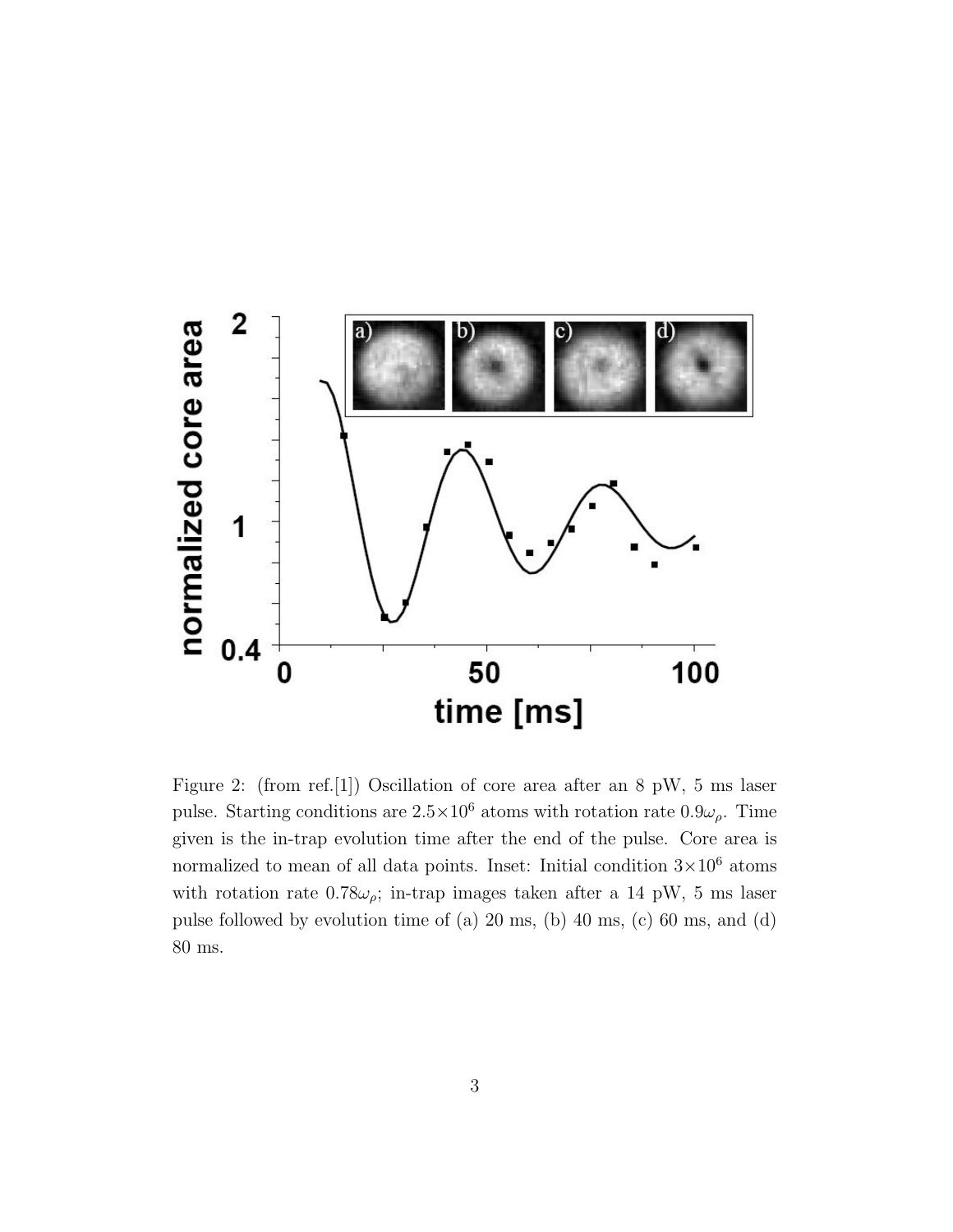

Figure 2: (from ref.[1]) Oscillation of core area after an 8 pW, 5 ms laser pulse. Starting conditions are  $2.5 \times 10^6$  atoms with rotation rate  $0.9\omega_\rho$ . Time given is the in-trap evolution time after the end of the pulse. Core area is normalized to mean of all data points. Inset: Initial condition  $3 \times 10^6$  atoms with rotation rate  $0.78\omega_{\rho}$ ; in-trap images taken after a 14 pW, 5 ms laser pulse followed by evolution time of (a) 20 ms, (b) 40 ms, (c) 60 ms, and (d) 80 ms.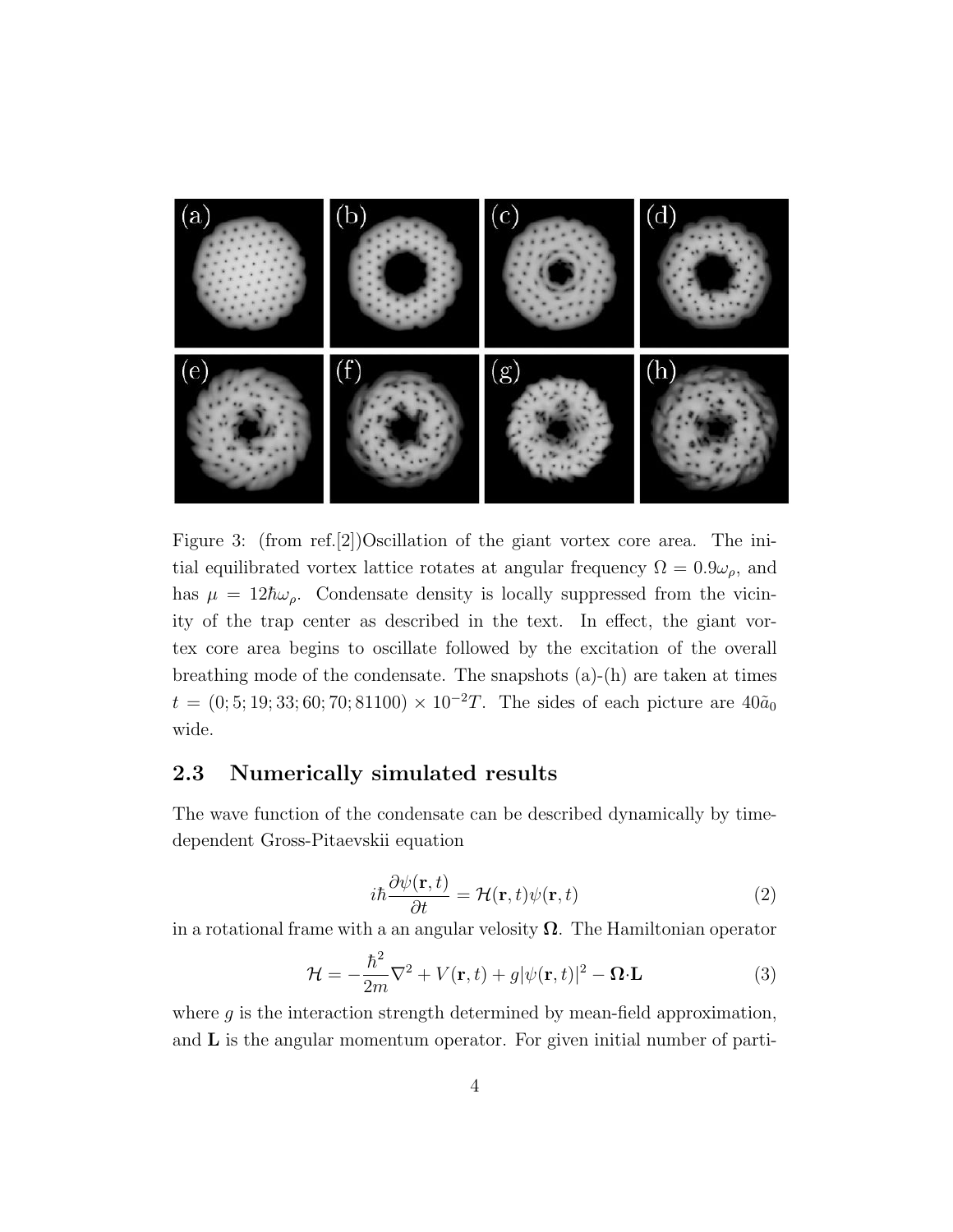

Figure 3: (from ref.[2])Oscillation of the giant vortex core area. The initial equilibrated vortex lattice rotates at angular frequency  $\Omega = 0.9\omega_{\rho}$ , and has  $\mu = 12\hbar\omega_{\rho}$ . Condensate density is locally suppressed from the vicinity of the trap center as described in the text. In effect, the giant vortex core area begins to oscillate followed by the excitation of the overall breathing mode of the condensate. The snapshots  $(a)$ - $(h)$  are taken at times  $t = (0, 5, 19, 33, 60, 70, 81100) \times 10^{-2}T$ . The sides of each picture are  $40\tilde{a}_0$ wide.

#### 2.3 Numerically simulated results

The wave function of the condensate can be described dynamically by timedependent Gross-Pitaevskii equation

$$
i\hbar \frac{\partial \psi(\mathbf{r},t)}{\partial t} = \mathcal{H}(\mathbf{r},t)\psi(\mathbf{r},t)
$$
\n(2)

in a rotational frame with a an angular velosity  $\Omega$ . The Hamiltonian operator

$$
\mathcal{H} = -\frac{\hbar^2}{2m}\nabla^2 + V(\mathbf{r}, t) + g|\psi(\mathbf{r}, t)|^2 - \mathbf{\Omega} \cdot \mathbf{L}
$$
 (3)

where  $g$  is the interaction strength determined by mean-field approximation, and L is the angular momentum operator. For given initial number of parti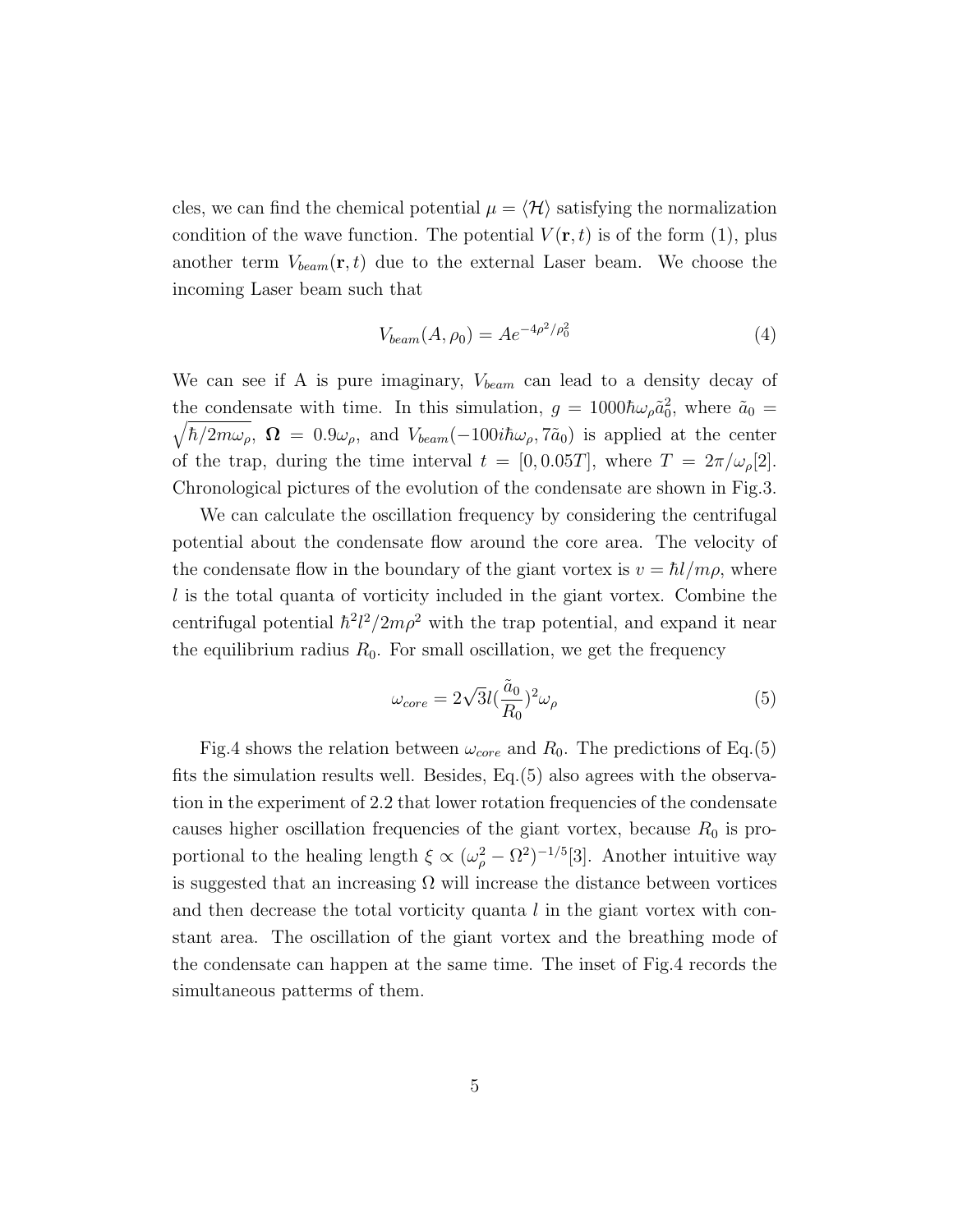cles, we can find the chemical potential  $\mu = \langle \mathcal{H} \rangle$  satisfying the normalization condition of the wave function. The potential  $V(\mathbf{r},t)$  is of the form (1), plus another term  $V_{beam}(\mathbf{r}, t)$  due to the external Laser beam. We choose the incoming Laser beam such that

$$
V_{beam}(A, \rho_0) = A e^{-4\rho^2/\rho_0^2}
$$
\n(4)

We can see if A is pure imaginary,  $V_{beam}$  can lead to a density decay of the condensate with time. In this simulation,  $g = 1000 \hbar \omega_{\rho} \tilde{a}_0^2$ , where  $\tilde{a}_0 =$  $\sqrt{\hbar/2m\omega_{\rho}}$ ,  $\Omega = 0.9\omega_{\rho}$ , and  $V_{beam}(-100i\hbar\omega_{\rho}, 7\tilde{a}_0)$  is applied at the center of the trap, during the time interval  $t = [0, 0.05T]$ , where  $T = 2\pi/\omega_{\rho}[2]$ . Chronological pictures of the evolution of the condensate are shown in Fig.3.

We can calculate the oscillation frequency by considering the centrifugal potential about the condensate flow around the core area. The velocity of the condensate flow in the boundary of the giant vortex is  $v = \hbar l/m\rho$ , where  $l$  is the total quanta of vorticity included in the giant vortex. Combine the centrifugal potential  $\hbar^2 l^2 / 2m\rho^2$  with the trap potential, and expand it near the equilibrium radius  $R_0$ . For small oscillation, we get the frequency

$$
\omega_{core} = 2\sqrt{3}l(\frac{\tilde{a}_0}{R_0})^2 \omega_\rho \tag{5}
$$

Fig.4 shows the relation between  $\omega_{core}$  and  $R_0$ . The predictions of Eq.(5) fits the simulation results well. Besides, Eq.(5) also agrees with the observation in the experiment of 2.2 that lower rotation frequencies of the condensate causes higher oscillation frequencies of the giant vortex, because  $R_0$  is proportional to the healing length  $\xi \propto (\omega_{\rho}^2 - \Omega^2)^{-1/5}$ [3]. Another intuitive way is suggested that an increasing  $\Omega$  will increase the distance between vortices and then decrease the total vorticity quanta  $l$  in the giant vortex with constant area. The oscillation of the giant vortex and the breathing mode of the condensate can happen at the same time. The inset of Fig.4 records the simultaneous patterms of them.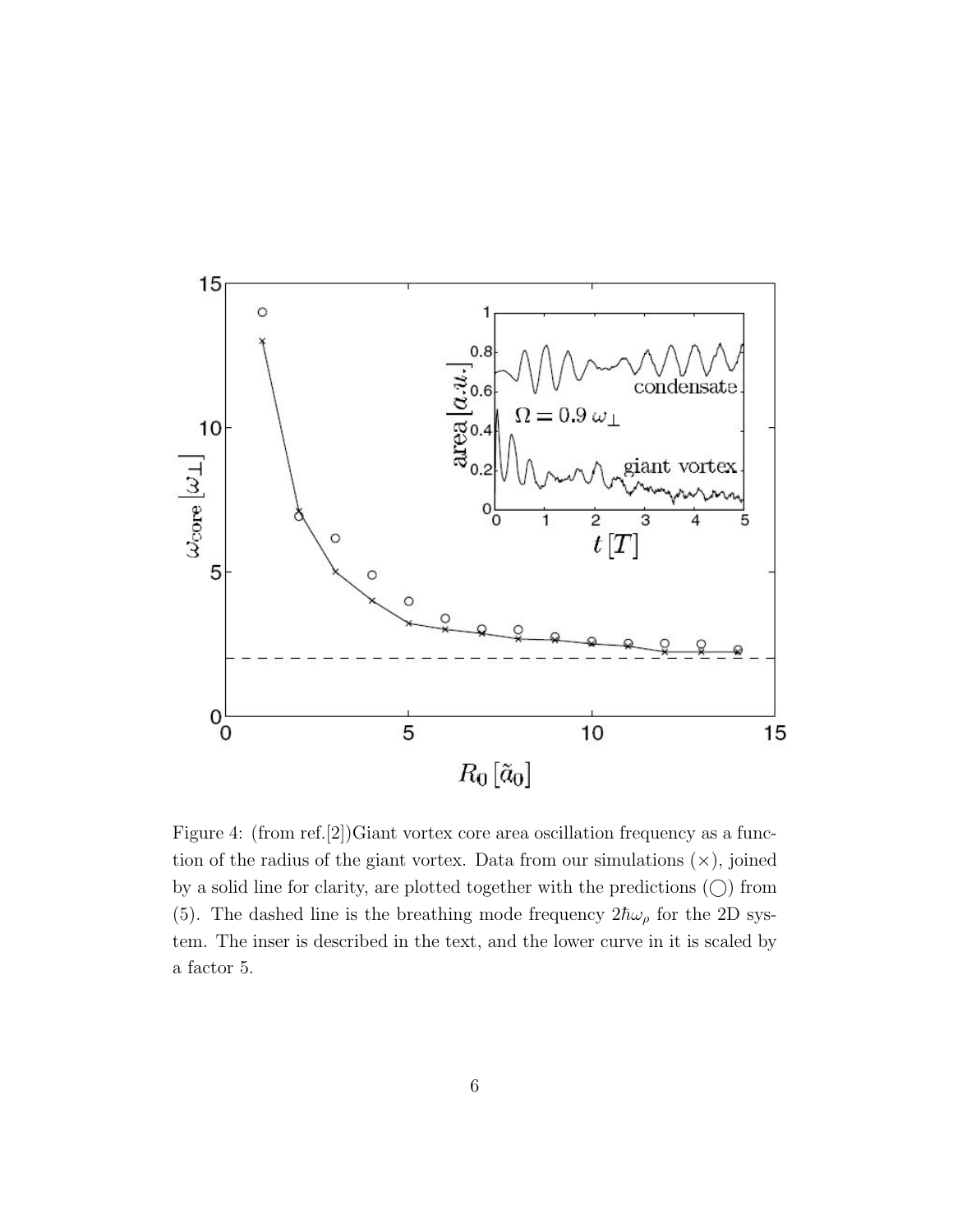

Figure 4: (from ref.[2])Giant vortex core area oscillation frequency as a function of the radius of the giant vortex. Data from our simulations  $(x)$ , joined by a solid line for clarity, are plotted together with the predictions  $\circlearrowright$  from (5). The dashed line is the breathing mode frequency  $2\hbar\omega_{\rho}$  for the 2D system. The inser is described in the text, and the lower curve in it is scaled by a factor 5.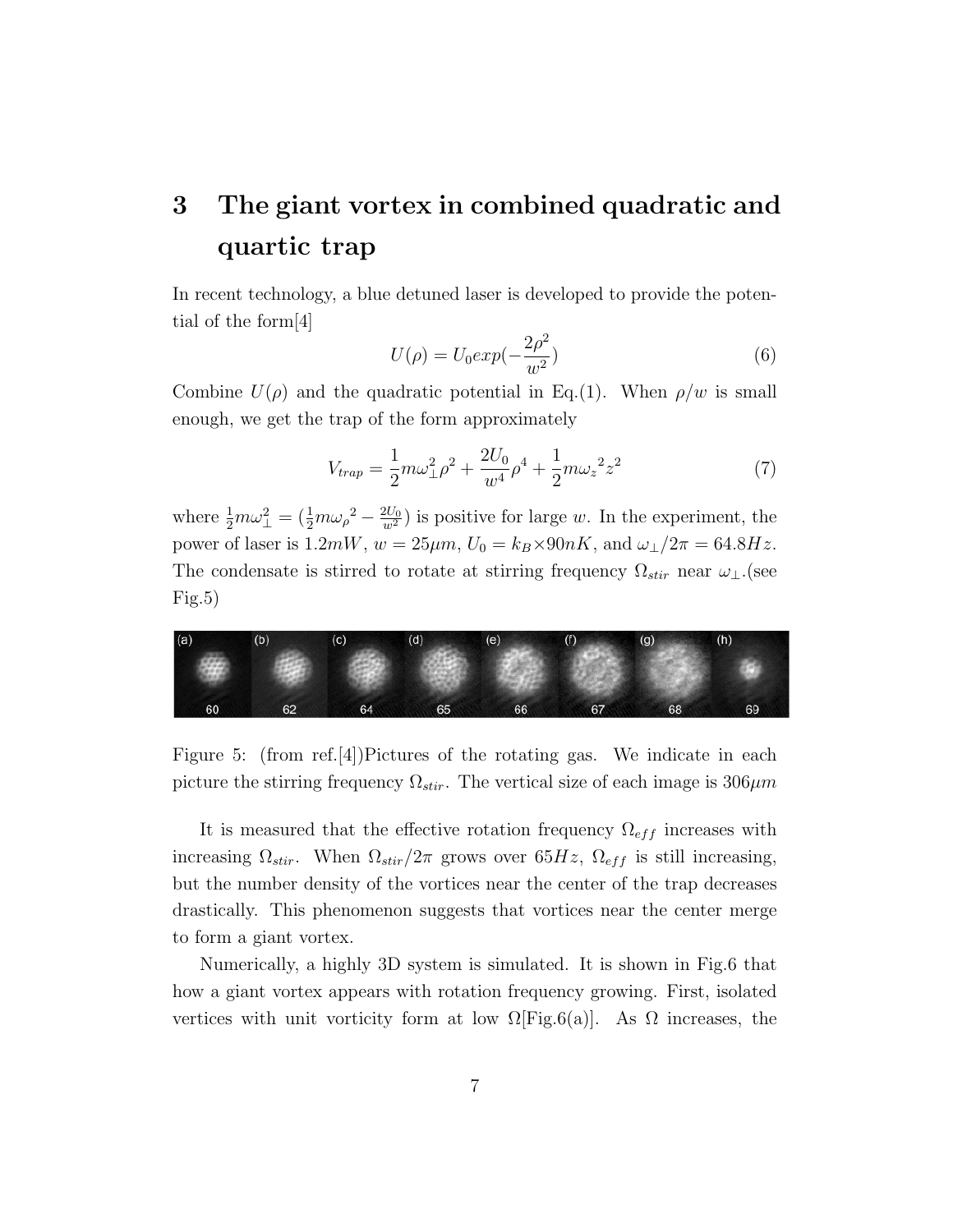## 3 The giant vortex in combined quadratic and quartic trap

In recent technology, a blue detuned laser is developed to provide the potential of the form[4]

$$
U(\rho) = U_0 exp(-\frac{2\rho^2}{w^2})
$$
\n(6)

Combine  $U(\rho)$  and the quadratic potential in Eq.(1). When  $\rho/w$  is small enough, we get the trap of the form approximately

$$
V_{trap} = \frac{1}{2}m\omega_{\perp}^{2}\rho^{2} + \frac{2U_{0}}{w^{4}}\rho^{4} + \frac{1}{2}m\omega_{z}^{2}z^{2}
$$
 (7)

where  $\frac{1}{2}m\omega_{\perp}^2 = (\frac{1}{2}m\omega_{\rho}^2 - \frac{2U_0}{w^2})$  is positive for large w. In the experiment, the power of laser is  $1.2mW$ ,  $w = 25\mu m$ ,  $U_0 = k_B \times 90nK$ , and  $\omega_{\perp}/2\pi = 64.8Hz$ . The condensate is stirred to rotate at stirring frequency  $\Omega_{stir}$  near  $\omega_{\perp}$ .(see  $Fig.5)$ 



Figure 5: (from ref.[4])Pictures of the rotating gas. We indicate in each picture the stirring frequency  $\Omega_{stir}$ . The vertical size of each image is  $306 \mu m$ 

It is measured that the effective rotation frequency  $\Omega_{eff}$  increases with increasing  $\Omega_{stir}$ . When  $\Omega_{stir}/2\pi$  grows over 65Hz,  $\Omega_{eff}$  is still increasing, but the number density of the vortices near the center of the trap decreases drastically. This phenomenon suggests that vortices near the center merge to form a giant vortex.

Numerically, a highly 3D system is simulated. It is shown in Fig.6 that how a giant vortex appears with rotation frequency growing. First, isolated vertices with unit vorticity form at low  $\Omega$ [Fig.6(a)]. As  $\Omega$  increases, the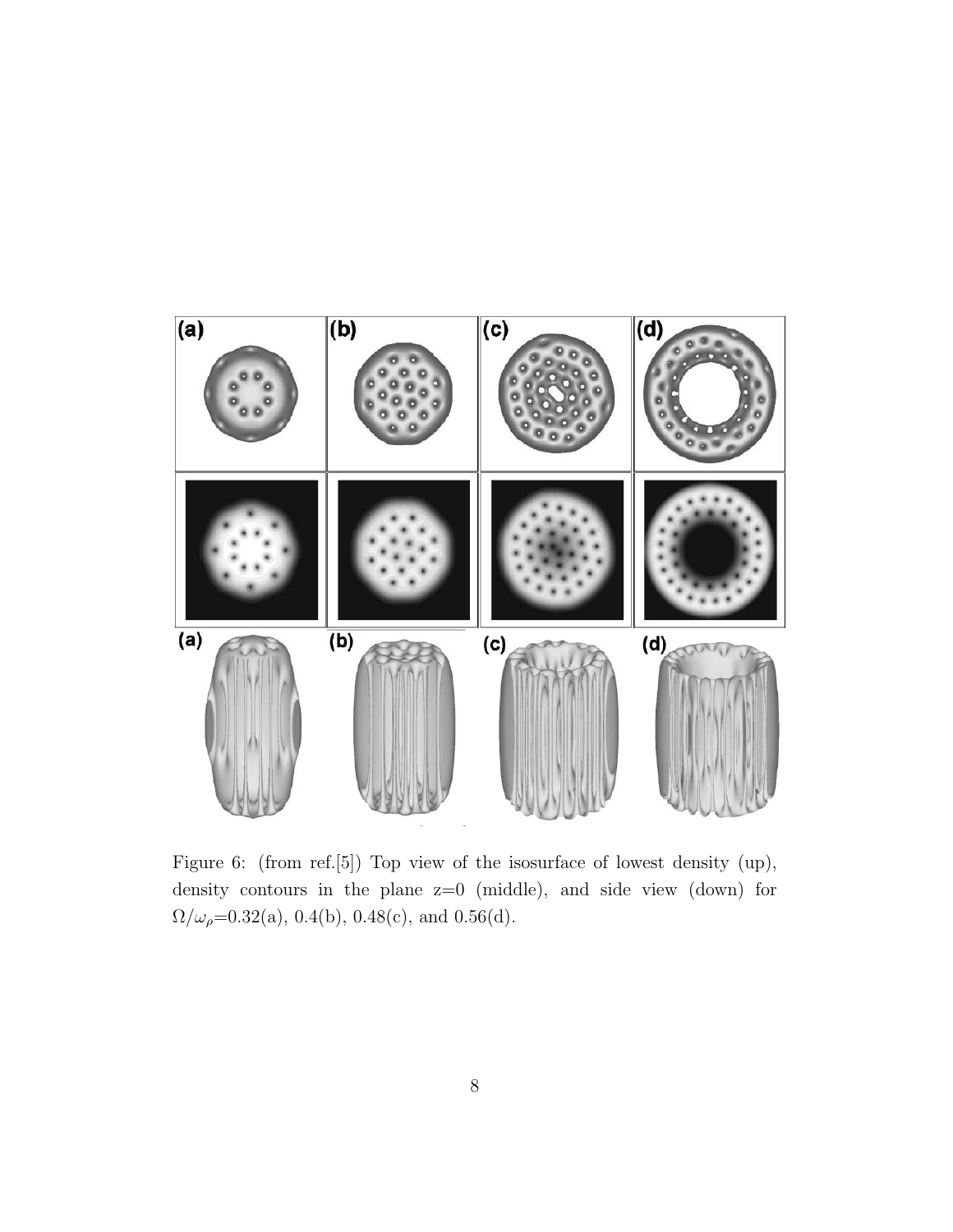

Figure 6: (from ref.[5]) Top view of the isosurface of lowest density (up), density contours in the plane z=0 (middle), and side view (down) for  $\Omega/\omega_\rho{=}0.32(a),\,0.4(b),\,0.48(c),$  and  $0.56(d).$